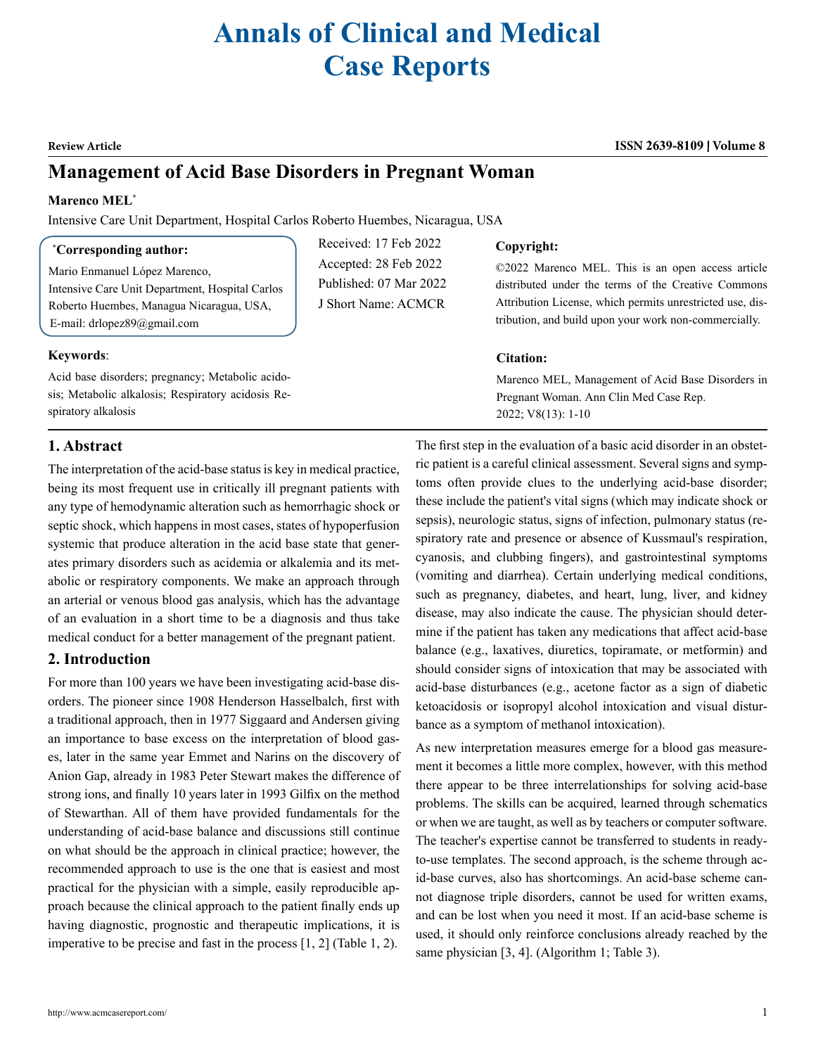# **Annals of Clinical and Medical Case Reports**

#### **Review Article ISSN 2639-8109 Volume 8**

# **Management of Acid Base Disorders in Pregnant Woman**

#### **Marenco MEL\***

Intensive Care Unit Department, Hospital Carlos Roberto Huembes, Nicaragua, USA

#### **\* Corresponding author:**

Mario Enmanuel López Marenco, Intensive Care Unit Department, Hospital Carlos Roberto Huembes, Managua Nicaragua, USA, E-mail: drlopez89@gmail.com

Acid base disorders; pregnancy; Metabolic acidosis; Metabolic alkalosis; Respiratory acidosis Re-

# Received: 17 Feb 2022 Accepted: 28 Feb 2022 Published: 07 Mar 2022 J Short Name: ACMCR

#### **Copyright:**

©2022 Marenco MEL. This is an open access article distributed under the terms of the Creative Commons Attribution License, which permits unrestricted use, distribution, and build upon your work non-commercially.

#### **Citation:**

Marenco MEL, Management of Acid Base Disorders in Pregnant Woman. Ann Clin Med Case Rep. 2022; V8(13): 1-10

### **1. Abstract**

spiratory alkalosis

**Keywords**:

The interpretation of the acid-base status is key in medical practice, being its most frequent use in critically ill pregnant patients with any type of hemodynamic alteration such as hemorrhagic shock or septic shock, which happens in most cases, states of hypoperfusion systemic that produce alteration in the acid base state that generates primary disorders such as acidemia or alkalemia and its metabolic or respiratory components. We make an approach through an arterial or venous blood gas analysis, which has the advantage of an evaluation in a short time to be a diagnosis and thus take medical conduct for a better management of the pregnant patient.

# **2. Introduction**

For more than 100 years we have been investigating acid-base disorders. The pioneer since 1908 Henderson Hasselbalch, first with a traditional approach, then in 1977 Siggaard and Andersen giving an importance to base excess on the interpretation of blood gases, later in the same year Emmet and Narins on the discovery of Anion Gap, already in 1983 Peter Stewart makes the difference of strong ions, and finally 10 years later in 1993 Gilfix on the method of Stewarthan. All of them have provided fundamentals for the understanding of acid-base balance and discussions still continue on what should be the approach in clinical practice; however, the recommended approach to use is the one that is easiest and most practical for the physician with a simple, easily reproducible approach because the clinical approach to the patient finally ends up having diagnostic, prognostic and therapeutic implications, it is imperative to be precise and fast in the process [1, 2] (Table 1, 2).

The first step in the evaluation of a basic acid disorder in an obstetric patient is a careful clinical assessment. Several signs and symptoms often provide clues to the underlying acid-base disorder; these include the patient's vital signs (which may indicate shock or sepsis), neurologic status, signs of infection, pulmonary status (respiratory rate and presence or absence of Kussmaul's respiration, cyanosis, and clubbing fingers), and gastrointestinal symptoms (vomiting and diarrhea). Certain underlying medical conditions, such as pregnancy, diabetes, and heart, lung, liver, and kidney disease, may also indicate the cause. The physician should determine if the patient has taken any medications that affect acid-base balance (e.g., laxatives, diuretics, topiramate, or metformin) and should consider signs of intoxication that may be associated with acid-base disturbances (e.g., acetone factor as a sign of diabetic ketoacidosis or isopropyl alcohol intoxication and visual disturbance as a symptom of methanol intoxication).

As new interpretation measures emerge for a blood gas measurement it becomes a little more complex, however, with this method there appear to be three interrelationships for solving acid-base problems. The skills can be acquired, learned through schematics or when we are taught, as well as by teachers or computer software. The teacher's expertise cannot be transferred to students in readyto-use templates. The second approach, is the scheme through acid-base curves, also has shortcomings. An acid-base scheme cannot diagnose triple disorders, cannot be used for written exams, and can be lost when you need it most. If an acid-base scheme is used, it should only reinforce conclusions already reached by the same physician [3, 4]. (Algorithm 1; Table 3).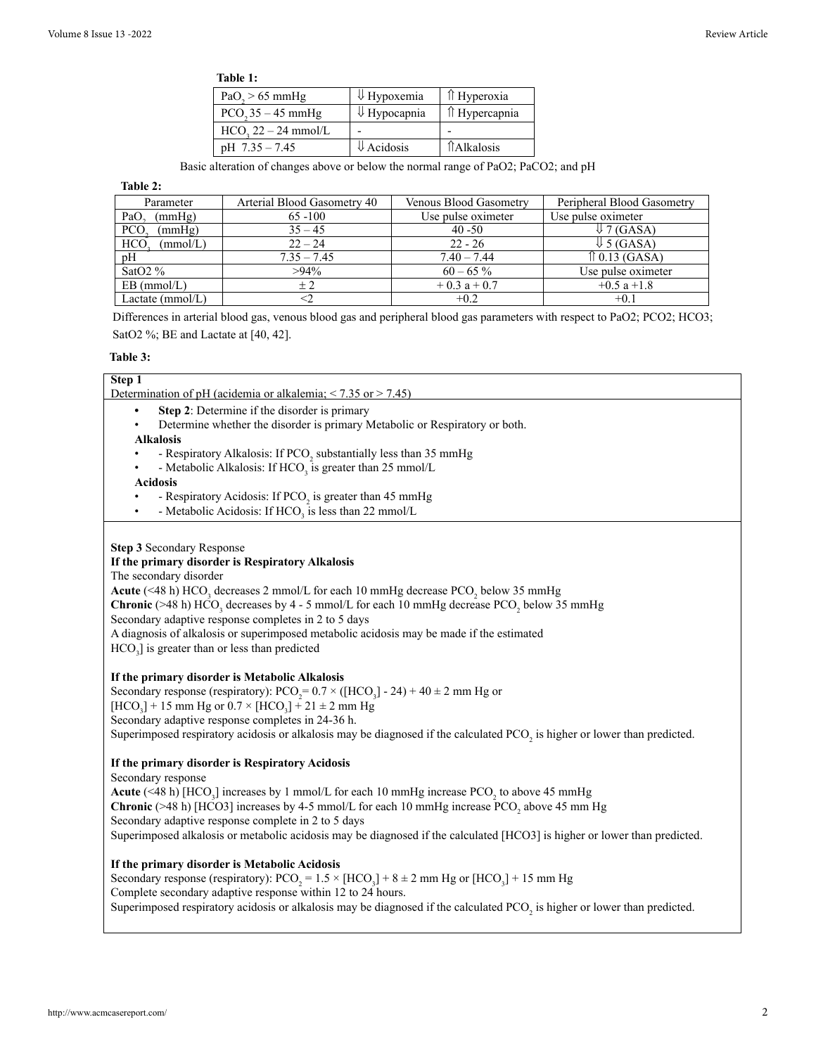| `able |  |  |  |
|-------|--|--|--|
|-------|--|--|--|

| PaO <sub>2</sub> > 65 mmHg | $\Downarrow$ Hypoxemia  | ↑ Hyperoxia       |
|----------------------------|-------------------------|-------------------|
| $PCO235 - 45$ mmHg         | $\Downarrow$ Hypocapnia | ↑ Hypercapnia     |
| $HCO, 22 - 24$ mmol/L      |                         |                   |
| $pH$ 7.35 - 7.45           | $\downarrow$ Acidosis   | <b>TAlkalosis</b> |

Basic alteration of changes above or below the normal range of PaO2; PaCO2; and pH

**Table 2:**

| Parameter              | Arterial Blood Gasometry 40 | <b>Venous Blood Gasometry</b> | Peripheral Blood Gasometry |
|------------------------|-----------------------------|-------------------------------|----------------------------|
| (mmHg)<br>PaO          | $65 - 100$                  | Use pulse oximeter            | Use pulse oximeter         |
| <b>PCO</b><br>(mmHg)   | $35 - 45$                   | $40 - 50$                     | $\downarrow$ 7 (GASA)      |
| <b>HCO</b><br>(mmol/L) | $22 - 24$                   | $22 - 26$                     | $\downarrow$ 5 (GASA)      |
| pH                     | $7.35 - 7.45$               | $7.40 - 7.44$                 | $\hat{p}$ 0.13 (GASA)      |
| SatO2 $%$              | $>94\%$                     | $60 - 65\%$                   | Use pulse oximeter         |
| $EB \ (mmol/L)$        | $+2$                        | $+0.3 a + 0.7$                | $+0.5$ a $+1.8$            |
| Lactate $(mmol/L)$     | <2                          | $+0.2$                        | $+0.1$                     |

Differences in arterial blood gas, venous blood gas and peripheral blood gas parameters with respect to PaO2; PCO2; HCO3; SatO2 %; BE and Lactate at [40, 42].

#### **Table 3:**

| Step 1                                                                                                                                    |
|-------------------------------------------------------------------------------------------------------------------------------------------|
| Determination of pH (acidemia or alkalemia; $\leq$ 7.35 or $\geq$ 7.45)                                                                   |
| Step 2: Determine if the disorder is primary                                                                                              |
| Determine whether the disorder is primary Metabolic or Respiratory or both.<br>$\bullet$                                                  |
| <b>Alkalosis</b>                                                                                                                          |
| - Respiratory Alkalosis: If PCO <sub>2</sub> substantially less than 35 mmHg                                                              |
| - Metabolic Alkalosis: If $HCO3$ is greater than 25 mmol/L                                                                                |
| <b>Acidosis</b>                                                                                                                           |
| - Respiratory Acidosis: If PCO <sub>2</sub> is greater than 45 mmHg                                                                       |
| - Metabolic Acidosis: If HCO <sub>3</sub> is less than 22 mmol/L<br>$\bullet$                                                             |
|                                                                                                                                           |
| Step 3 Secondary Response                                                                                                                 |
| If the primary disorder is Respiratory Alkalosis                                                                                          |
| The secondary disorder                                                                                                                    |
| Acute (<48 h) HCO <sub>3</sub> decreases 2 mmol/L for each 10 mmHg decrease PCO <sub>2</sub> below 35 mmHg                                |
| <b>Chronic</b> (>48 h) HCO <sub>3</sub> decreases by 4 - 5 mmol/L for each 10 mmHg decrease PCO <sub>2</sub> below 35 mmHg                |
| Secondary adaptive response completes in 2 to 5 days                                                                                      |
| A diagnosis of alkalosis or superimposed metabolic acidosis may be made if the estimated                                                  |
| $HCO3$ ] is greater than or less than predicted                                                                                           |
|                                                                                                                                           |
| If the primary disorder is Metabolic Alkalosis                                                                                            |
| Secondary response (respiratory): $PCO_2 = 0.7 \times ([HCO_3] - 24) + 40 \pm 2$ mm Hg or                                                 |
| $[HCO_3]$ + 15 mm Hg or 0.7 × $[HCO_3]$ + 21 ± 2 mm Hg                                                                                    |
| Secondary adaptive response completes in 24-36 h.                                                                                         |
| Superimposed respiratory acidosis or alkalosis may be diagnosed if the calculated PCO, is higher or lower than predicted.                 |
|                                                                                                                                           |
| If the primary disorder is Respiratory Acidosis                                                                                           |
| Secondary response                                                                                                                        |
| Acute (<48 h) [HCO <sub>3</sub> ] increases by 1 mmol/L for each 10 mmHg increase PCO <sub>2</sub> to above 45 mmHg                       |
| <b>Chronic</b> (>48 h) [HCO3] increases by 4-5 mmol/L for each 10 mmHg increase PCO, above 45 mm Hg                                       |
| Secondary adaptive response complete in 2 to 5 days                                                                                       |
| Superimposed alkalosis or metabolic acidosis may be diagnosed if the calculated [HCO3] is higher or lower than predicted.                 |
|                                                                                                                                           |
| If the primary disorder is Metabolic Acidosis                                                                                             |
| Secondary response (respiratory): PCO <sub>2</sub> = 1.5 $\times$ [HCO <sub>3</sub> ] + 8 $\pm$ 2 mm Hg or [HCO <sub>3</sub> ] + 15 mm Hg |
| Complete secondary adaptive response within 12 to 24 hours.                                                                               |
| Superimposed respiratory acidosis or alkalosis may be diagnosed if the calculated PCO, is higher or lower than predicted.                 |
|                                                                                                                                           |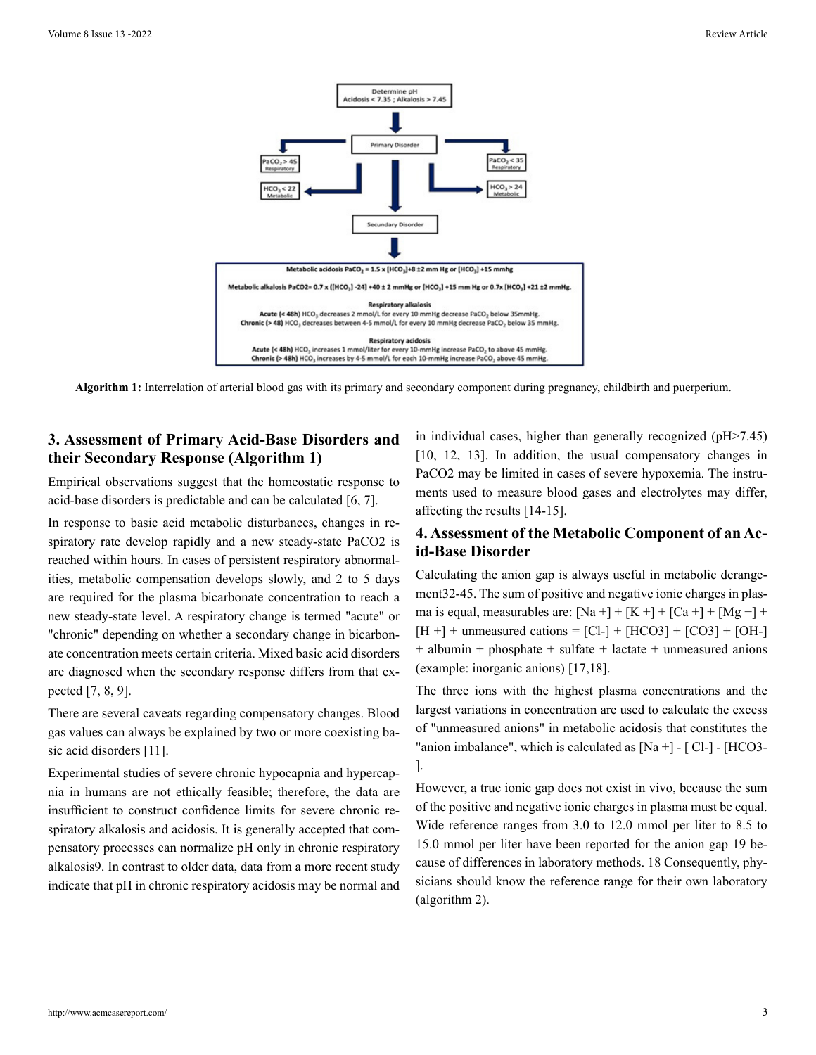

**Algorithm 1:** Interrelation of arterial blood gas with its primary and secondary component during pregnancy, childbirth and puerperium.

# **3. Assessment of Primary Acid-Base Disorders and their Secondary Response (Algorithm 1)**

Empirical observations suggest that the homeostatic response to acid-base disorders is predictable and can be calculated [6, 7].

In response to basic acid metabolic disturbances, changes in respiratory rate develop rapidly and a new steady-state PaCO2 is reached within hours. In cases of persistent respiratory abnormalities, metabolic compensation develops slowly, and 2 to 5 days are required for the plasma bicarbonate concentration to reach a new steady-state level. A respiratory change is termed "acute" or "chronic" depending on whether a secondary change in bicarbonate concentration meets certain criteria. Mixed basic acid disorders are diagnosed when the secondary response differs from that expected [7, 8, 9].

There are several caveats regarding compensatory changes. Blood gas values can always be explained by two or more coexisting basic acid disorders [11].

Experimental studies of severe chronic hypocapnia and hypercapnia in humans are not ethically feasible; therefore, the data are insufficient to construct confidence limits for severe chronic respiratory alkalosis and acidosis. It is generally accepted that compensatory processes can normalize pH only in chronic respiratory alkalosis9. In contrast to older data, data from a more recent study indicate that pH in chronic respiratory acidosis may be normal and in individual cases, higher than generally recognized (pH>7.45) [10, 12, 13]. In addition, the usual compensatory changes in PaCO2 may be limited in cases of severe hypoxemia. The instruments used to measure blood gases and electrolytes may differ, affecting the results [14-15].

## **4. Assessment of the Metabolic Component of an Acid-Base Disorder**

Calculating the anion gap is always useful in metabolic derangement32-45. The sum of positive and negative ionic charges in plasma is equal, measurables are:  $[Na + ] + [K +] + [Ca +] + [Mg +] +$  $[H +]$  + unmeasured cations =  $[Cl -]$  +  $[HCO3]$  +  $[CO3]$  +  $[OH -]$ + albumin + phosphate + sulfate + lactate + unmeasured anions (example: inorganic anions) [17,18].

The three ions with the highest plasma concentrations and the largest variations in concentration are used to calculate the excess of "unmeasured anions" in metabolic acidosis that constitutes the "anion imbalance", which is calculated as [Na +] - [ Cl-] - [HCO3- ].

However, a true ionic gap does not exist in vivo, because the sum of the positive and negative ionic charges in plasma must be equal. Wide reference ranges from 3.0 to 12.0 mmol per liter to 8.5 to 15.0 mmol per liter have been reported for the anion gap 19 because of differences in laboratory methods. 18 Consequently, physicians should know the reference range for their own laboratory (algorithm 2).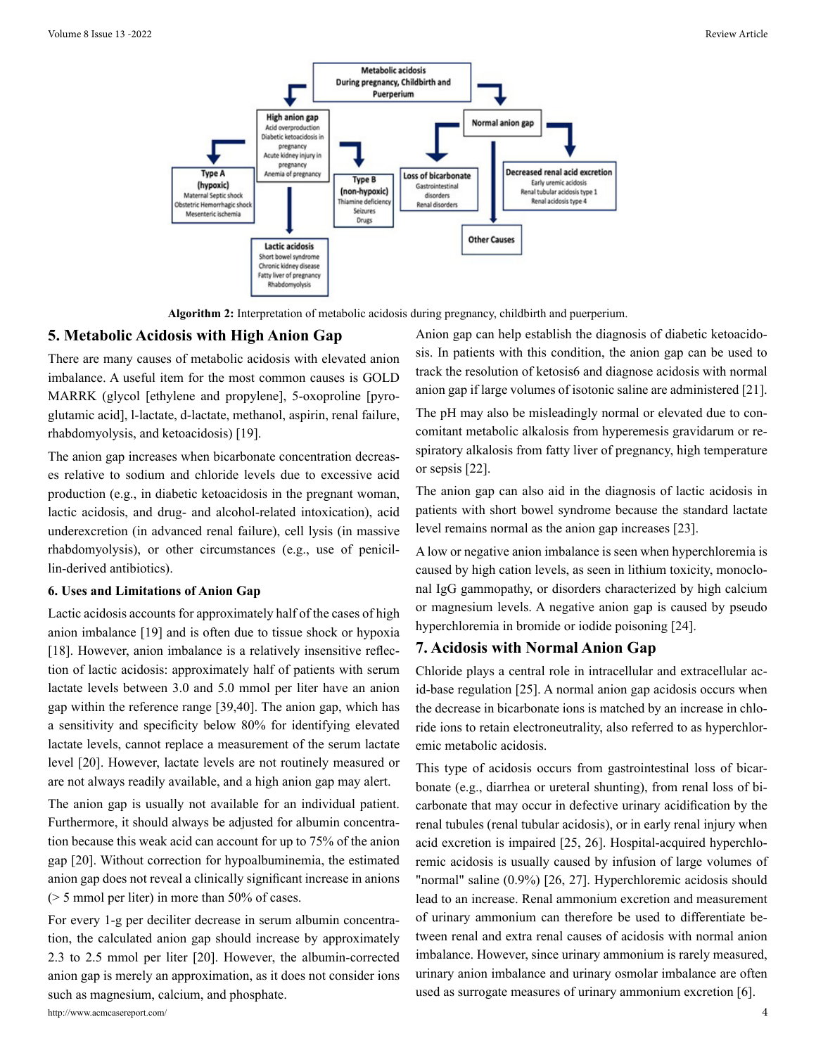

**Algorithm 2:** Interpretation of metabolic acidosis during pregnancy, childbirth and puerperium.

#### **5. Metabolic Acidosis with High Anion Gap**

There are many causes of metabolic acidosis with elevated anion imbalance. A useful item for the most common causes is GOLD MARRK (glycol [ethylene and propylene], 5-oxoproline [pyroglutamic acid], l-lactate, d-lactate, methanol, aspirin, renal failure, rhabdomyolysis, and ketoacidosis) [19].

The anion gap increases when bicarbonate concentration decreases relative to sodium and chloride levels due to excessive acid production (e.g., in diabetic ketoacidosis in the pregnant woman, lactic acidosis, and drug- and alcohol-related intoxication), acid underexcretion (in advanced renal failure), cell lysis (in massive rhabdomyolysis), or other circumstances (e.g., use of penicillin-derived antibiotics).

#### **6. Uses and Limitations of Anion Gap**

Lactic acidosis accounts for approximately half of the cases of high anion imbalance [19] and is often due to tissue shock or hypoxia [18]. However, anion imbalance is a relatively insensitive reflection of lactic acidosis: approximately half of patients with serum lactate levels between 3.0 and 5.0 mmol per liter have an anion gap within the reference range [39,40]. The anion gap, which has a sensitivity and specificity below 80% for identifying elevated lactate levels, cannot replace a measurement of the serum lactate level [20]. However, lactate levels are not routinely measured or are not always readily available, and a high anion gap may alert.

The anion gap is usually not available for an individual patient. Furthermore, it should always be adjusted for albumin concentration because this weak acid can account for up to 75% of the anion gap [20]. Without correction for hypoalbuminemia, the estimated anion gap does not reveal a clinically significant increase in anions (> 5 mmol per liter) in more than 50% of cases.

For every 1-g per deciliter decrease in serum albumin concentration, the calculated anion gap should increase by approximately 2.3 to 2.5 mmol per liter [20]. However, the albumin-corrected anion gap is merely an approximation, as it does not consider ions such as magnesium, calcium, and phosphate.

Anion gap can help establish the diagnosis of diabetic ketoacidosis. In patients with this condition, the anion gap can be used to track the resolution of ketosis6 and diagnose acidosis with normal anion gap if large volumes of isotonic saline are administered [21].

The pH may also be misleadingly normal or elevated due to concomitant metabolic alkalosis from hyperemesis gravidarum or respiratory alkalosis from fatty liver of pregnancy, high temperature or sepsis [22].

The anion gap can also aid in the diagnosis of lactic acidosis in patients with short bowel syndrome because the standard lactate level remains normal as the anion gap increases [23].

A low or negative anion imbalance is seen when hyperchloremia is caused by high cation levels, as seen in lithium toxicity, monoclonal IgG gammopathy, or disorders characterized by high calcium or magnesium levels. A negative anion gap is caused by pseudo hyperchloremia in bromide or iodide poisoning [24].

#### **7. Acidosis with Normal Anion Gap**

Chloride plays a central role in intracellular and extracellular acid-base regulation [25]. A normal anion gap acidosis occurs when the decrease in bicarbonate ions is matched by an increase in chloride ions to retain electroneutrality, also referred to as hyperchloremic metabolic acidosis.

This type of acidosis occurs from gastrointestinal loss of bicarbonate (e.g., diarrhea or ureteral shunting), from renal loss of bicarbonate that may occur in defective urinary acidification by the renal tubules (renal tubular acidosis), or in early renal injury when acid excretion is impaired [25, 26]. Hospital-acquired hyperchloremic acidosis is usually caused by infusion of large volumes of "normal" saline (0.9%) [26, 27]. Hyperchloremic acidosis should lead to an increase. Renal ammonium excretion and measurement of urinary ammonium can therefore be used to differentiate between renal and extra renal causes of acidosis with normal anion imbalance. However, since urinary ammonium is rarely measured, urinary anion imbalance and urinary osmolar imbalance are often used as surrogate measures of urinary ammonium excretion [6].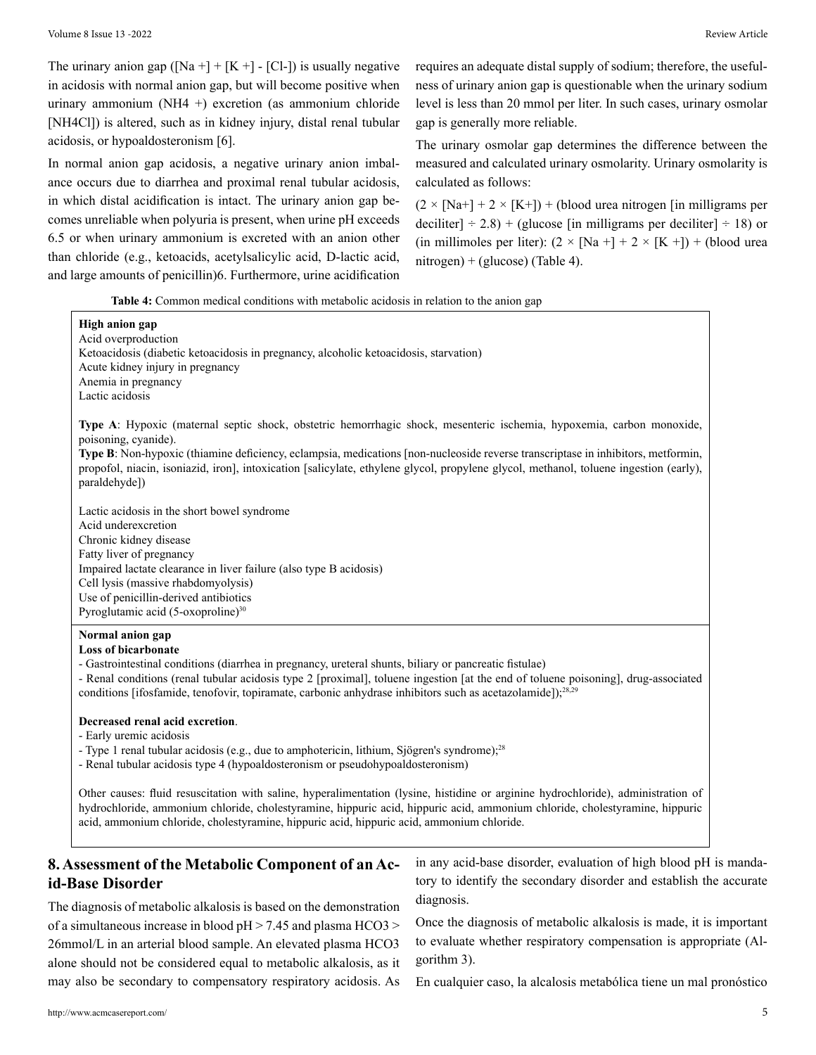The urinary anion gap ( $[Na + ] + [K +] - [Cl -])$  is usually negative in acidosis with normal anion gap, but will become positive when urinary ammonium (NH4 +) excretion (as ammonium chloride [NH4Cl]) is altered, such as in kidney injury, distal renal tubular acidosis, or hypoaldosteronism [6].

In normal anion gap acidosis, a negative urinary anion imbalance occurs due to diarrhea and proximal renal tubular acidosis, in which distal acidification is intact. The urinary anion gap becomes unreliable when polyuria is present, when urine pH exceeds 6.5 or when urinary ammonium is excreted with an anion other than chloride (e.g., ketoacids, acetylsalicylic acid, D-lactic acid, and large amounts of penicillin)6. Furthermore, urine acidification

requires an adequate distal supply of sodium; therefore, the usefulness of urinary anion gap is questionable when the urinary sodium level is less than 20 mmol per liter. In such cases, urinary osmolar gap is generally more reliable.

The urinary osmolar gap determines the difference between the measured and calculated urinary osmolarity. Urinary osmolarity is calculated as follows:

 $(2 \times [Na+]+ 2 \times [K+]) + (blood area nitrogen [in milligrams per$ deciliter]  $\div$  2.8) + (glucose [in milligrams per deciliter]  $\div$  18) or (in millimoles per liter):  $(2 \times [Na +] + 2 \times [K +]) + (blood area)$ nitrogen) + (glucose) (Table 4).

**Table 4:** Common medical conditions with metabolic acidosis in relation to the anion gap

| Type A: Hypoxic (maternal septic shock, obstetric hemorrhagic shock, mesenteric ischemia, hypoxemia, carbon monoxide,<br>poisoning, cyanide).<br>Type B: Non-hypoxic (thiamine deficiency, eclampsia, medications [non-nucleoside reverse transcriptase in inhibitors, metformin,<br>propofol, niacin, isoniazid, iron], intoxication [salicylate, ethylene glycol, propylene glycol, methanol, toluene ingestion (early),<br>paraldehyde])<br>Lactic acidosis in the short bowel syndrome<br>Acid underexcretion<br>Chronic kidney disease<br>Fatty liver of pregnancy<br>Impaired lactate clearance in liver failure (also type B acidosis)<br>Cell lysis (massive rhabdomyolysis)<br>Use of penicillin-derived antibiotics<br>Pyroglutamic acid (5-oxoproline) <sup>30</sup><br><b>Loss of bicarbonate</b><br>- Gastrointestinal conditions (diarrhea in pregnancy, ureteral shunts, biliary or pancreatic fistulae)<br>conditions [ifosfamide, tenofovir, topiramate, carbonic anhydrase inhibitors such as acetazolamide]); <sup>28,29</sup><br>Decreased renal acid excretion.<br>- Early uremic acidosis<br>- Type 1 renal tubular acidosis (e.g., due to amphotericin, lithium, Sjögren's syndrome); <sup>28</sup><br>- Renal tubular acidosis type 4 (hypoaldosteronism or pseudohypoaldosteronism)<br>acid, ammonium chloride, cholestyramine, hippuric acid, hippuric acid, ammonium chloride. | <b>High anion gap</b><br>Acid overproduction<br>Ketoacidosis (diabetic ketoacidosis in pregnancy, alcoholic ketoacidosis, starvation)<br>Acute kidney injury in pregnancy<br>Anemia in pregnancy<br>Lactic acidosis |  |
|-----------------------------------------------------------------------------------------------------------------------------------------------------------------------------------------------------------------------------------------------------------------------------------------------------------------------------------------------------------------------------------------------------------------------------------------------------------------------------------------------------------------------------------------------------------------------------------------------------------------------------------------------------------------------------------------------------------------------------------------------------------------------------------------------------------------------------------------------------------------------------------------------------------------------------------------------------------------------------------------------------------------------------------------------------------------------------------------------------------------------------------------------------------------------------------------------------------------------------------------------------------------------------------------------------------------------------------------------------------------------------------------------------------|---------------------------------------------------------------------------------------------------------------------------------------------------------------------------------------------------------------------|--|
|                                                                                                                                                                                                                                                                                                                                                                                                                                                                                                                                                                                                                                                                                                                                                                                                                                                                                                                                                                                                                                                                                                                                                                                                                                                                                                                                                                                                           |                                                                                                                                                                                                                     |  |
| - Renal conditions (renal tubular acidosis type 2 [proximal], toluene ingestion [at the end of toluene poisoning], drug-associated<br>Other causes: fluid resuscitation with saline, hyperalimentation (lysine, histidine or arginine hydrochloride), administration of                                                                                                                                                                                                                                                                                                                                                                                                                                                                                                                                                                                                                                                                                                                                                                                                                                                                                                                                                                                                                                                                                                                                   |                                                                                                                                                                                                                     |  |
|                                                                                                                                                                                                                                                                                                                                                                                                                                                                                                                                                                                                                                                                                                                                                                                                                                                                                                                                                                                                                                                                                                                                                                                                                                                                                                                                                                                                           | Normal anion gap                                                                                                                                                                                                    |  |
| hydrochloride, ammonium chloride, cholestyramine, hippuric acid, hippuric acid, ammonium chloride, cholestyramine, hippuric                                                                                                                                                                                                                                                                                                                                                                                                                                                                                                                                                                                                                                                                                                                                                                                                                                                                                                                                                                                                                                                                                                                                                                                                                                                                               |                                                                                                                                                                                                                     |  |
|                                                                                                                                                                                                                                                                                                                                                                                                                                                                                                                                                                                                                                                                                                                                                                                                                                                                                                                                                                                                                                                                                                                                                                                                                                                                                                                                                                                                           |                                                                                                                                                                                                                     |  |

# **8. Assessment of the Metabolic Component of an Acid-Base Disorder**

The diagnosis of metabolic alkalosis is based on the demonstration of a simultaneous increase in blood pH > 7.45 and plasma HCO3 > 26mmol/L in an arterial blood sample. An elevated plasma HCO3 alone should not be considered equal to metabolic alkalosis, as it may also be secondary to compensatory respiratory acidosis. As in any acid-base disorder, evaluation of high blood pH is mandatory to identify the secondary disorder and establish the accurate diagnosis.

Once the diagnosis of metabolic alkalosis is made, it is important to evaluate whether respiratory compensation is appropriate (Algorithm 3).

En cualquier caso, la alcalosis metabólica tiene un mal pronóstico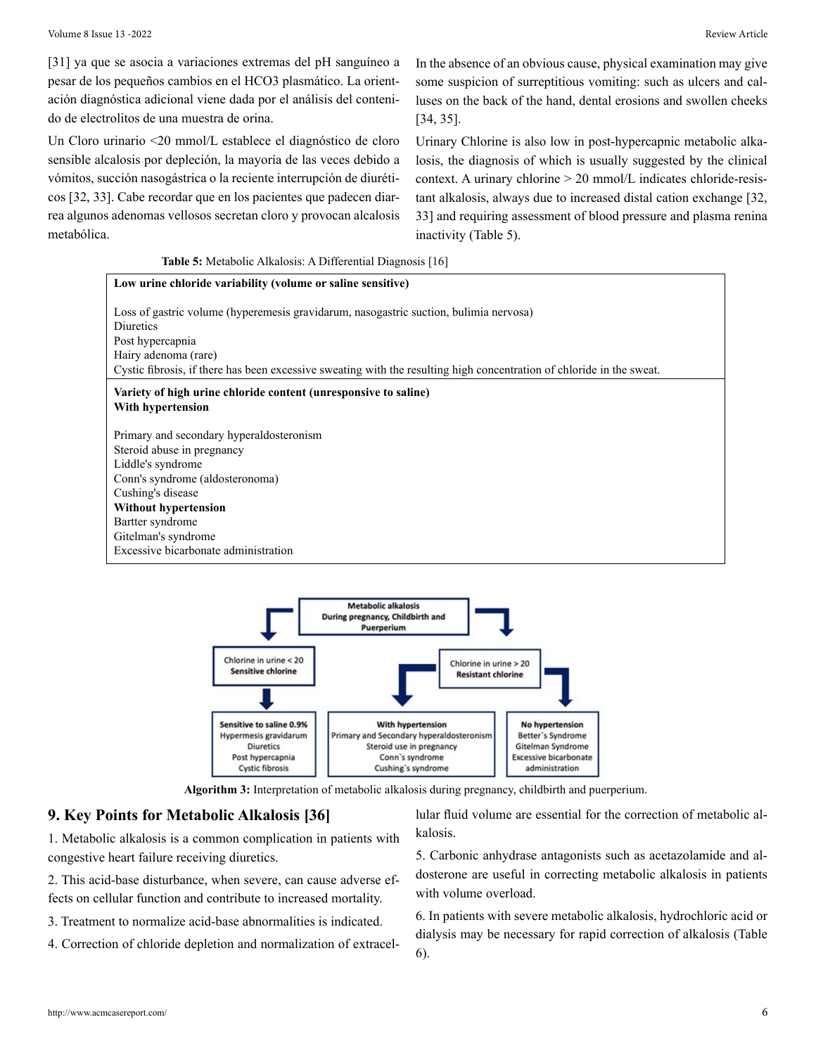[31] ya que se asocia a variaciones extremas del pH sanguíneo a pesar de los pequeños cambios en el HCO3 plasmático. La orientación diagnóstica adicional viene dada por el análisis del contenido de electrolitos de una muestra de orina.

Un Cloro urinario <20 mmol/L establece el diagnóstico de cloro sensible alcalosis por depleción, la mayoría de las veces debido a vómitos, succión nasogástrica o la reciente interrupción de diuréticos [32, 33]. Cabe recordar que en los pacientes que padecen diarrea algunos adenomas vellosos secretan cloro y provocan alcalosis metabólica.

In the absence of an obvious cause, physical examination may give some suspicion of surreptitious vomiting: such as ulcers and calluses on the back of the hand, dental erosions and swollen cheeks [34, 35].

Urinary Chlorine is also low in post-hypercapnic metabolic alkalosis, the diagnosis of which is usually suggested by the clinical context. A urinary chlorine > 20 mmol/L indicates chloride-resistant alkalosis, always due to increased distal cation exchange [32, 33] and requiring assessment of blood pressure and plasma renina inactivity (Table 5).

#### **Table 5:** Metabolic Alkalosis: A Differential Diagnosis [16]





**Algorithm 3:** Interpretation of metabolic alkalosis during pregnancy, childbirth and puerperium.

#### **9. Key Points for Metabolic Alkalosis [36]**

1. Metabolic alkalosis is a common complication in patients with congestive heart failure receiving diuretics.

2. This acid-base disturbance, when severe, can cause adverse effects on cellular function and contribute to increased mortality.

- 3. Treatment to normalize acid-base abnormalities is indicated.
- 4. Correction of chloride depletion and normalization of extracel-

lular fluid volume are essential for the correction of metabolic alkalosis.

5. Carbonic anhydrase antagonists such as acetazolamide and aldosterone are useful in correcting metabolic alkalosis in patients with volume overload.

6. In patients with severe metabolic alkalosis, hydrochloric acid or dialysis may be necessary for rapid correction of alkalosis (Table 6).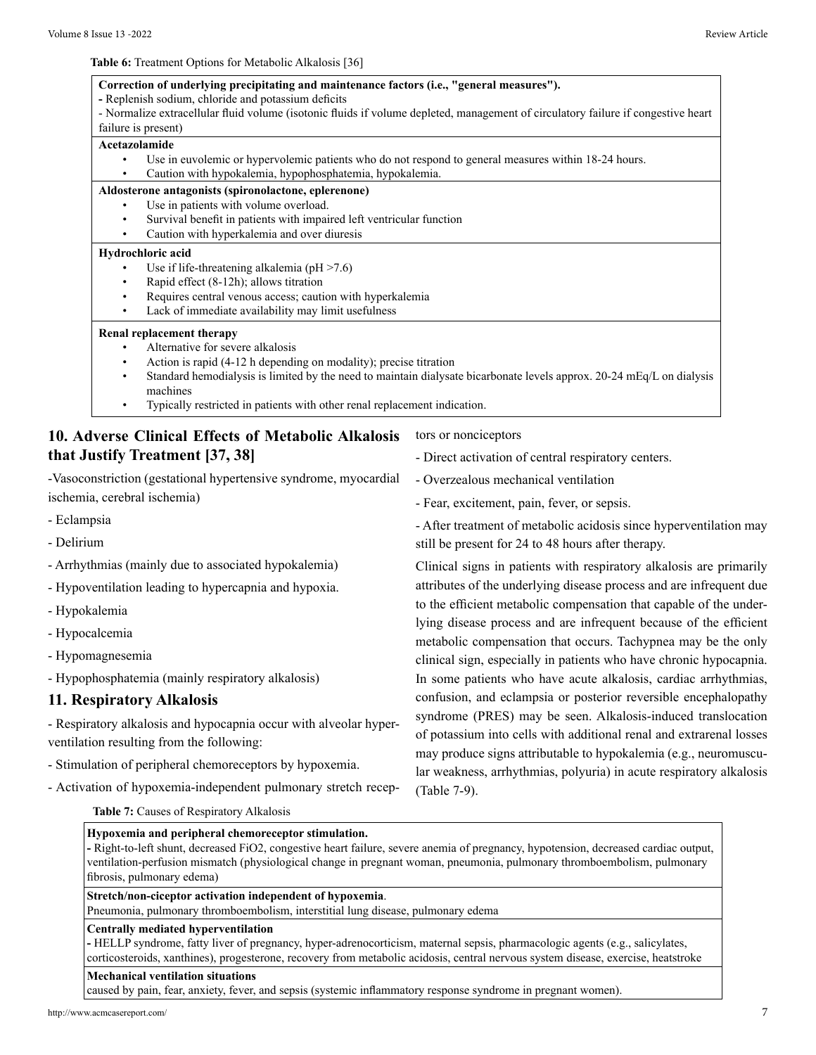**Table 6:** Treatment Options for Metabolic Alkalosis [36]

- **Correction of underlying precipitating and maintenance factors (i.e., "general measures").**
- Replenish sodium, chloride and potassium deficits
- Normalize extracellular fluid volume (isotonic fluids if volume depleted, management of circulatory failure if congestive heart failure is present)

#### **Acetazolamide**

• Use in euvolemic or hypervolemic patients who do not respond to general measures within 18-24 hours. • Caution with hypokalemia, hypophosphatemia, hypokalemia.

#### **Aldosterone antagonists (spironolactone, eplerenone)**

- Use in patients with volume overload.
- Survival benefit in patients with impaired left ventricular function
- Caution with hyperkalemia and over diuresis

#### **Hydrochloric acid**

- Use if life-threatening alkalemia ( $pH > 7.6$ )
- Rapid effect (8-12h); allows titration
- Requires central venous access; caution with hyperkalemia
- Lack of immediate availability may limit usefulness

#### **Renal replacement therapy**

- Alternative for severe alkalosis
- Action is rapid (4-12 h depending on modality); precise titration
- Standard hemodialysis is limited by the need to maintain dialysate bicarbonate levels approx. 20-24 mEq/L on dialysis machines
- Typically restricted in patients with other renal replacement indication.

# **10. Adverse Clinical Effects of Metabolic Alkalosis that Justify Treatment [37, 38]**

-Vasoconstriction (gestational hypertensive syndrome, myocardial ischemia, cerebral ischemia)

- Eclampsia

- Delirium
- Arrhythmias (mainly due to associated hypokalemia)
- Hypoventilation leading to hypercapnia and hypoxia.
- Hypokalemia
- Hypocalcemia
- Hypomagnesemia
- Hypophosphatemia (mainly respiratory alkalosis)

#### **11. Respiratory Alkalosis**

- Respiratory alkalosis and hypocapnia occur with alveolar hyperventilation resulting from the following:

- Stimulation of peripheral chemoreceptors by hypoxemia.
- Activation of hypoxemia-independent pulmonary stretch recep-

tors or nonciceptors

- Direct activation of central respiratory centers.
- Overzealous mechanical ventilation
- Fear, excitement, pain, fever, or sepsis.
- After treatment of metabolic acidosis since hyperventilation may still be present for 24 to 48 hours after therapy.

Clinical signs in patients with respiratory alkalosis are primarily attributes of the underlying disease process and are infrequent due to the efficient metabolic compensation that capable of the underlying disease process and are infrequent because of the efficient metabolic compensation that occurs. Tachypnea may be the only clinical sign, especially in patients who have chronic hypocapnia. In some patients who have acute alkalosis, cardiac arrhythmias, confusion, and eclampsia or posterior reversible encephalopathy syndrome (PRES) may be seen. Alkalosis-induced translocation of potassium into cells with additional renal and extrarenal losses may produce signs attributable to hypokalemia (e.g., neuromuscular weakness, arrhythmias, polyuria) in acute respiratory alkalosis (Table 7-9).

**Table 7:** Causes of Respiratory Alkalosis

### **Hypoxemia and peripheral chemoreceptor stimulation.**

**-** Right-to-left shunt, decreased FiO2, congestive heart failure, severe anemia of pregnancy, hypotension, decreased cardiac output, ventilation-perfusion mismatch (physiological change in pregnant woman, pneumonia, pulmonary thromboembolism, pulmonary fibrosis, pulmonary edema)

#### **Stretch/non-ciceptor activation independent of hypoxemia**.

Pneumonia, pulmonary thromboembolism, interstitial lung disease, pulmonary edema

#### **Centrally mediated hyperventilation**

**-** HELLP syndrome, fatty liver of pregnancy, hyper-adrenocorticism, maternal sepsis, pharmacologic agents (e.g., salicylates, corticosteroids, xanthines), progesterone, recovery from metabolic acidosis, central nervous system disease, exercise, heatstroke

#### **Mechanical ventilation situations**

caused by pain, fear, anxiety, fever, and sepsis (systemic inflammatory response syndrome in pregnant women).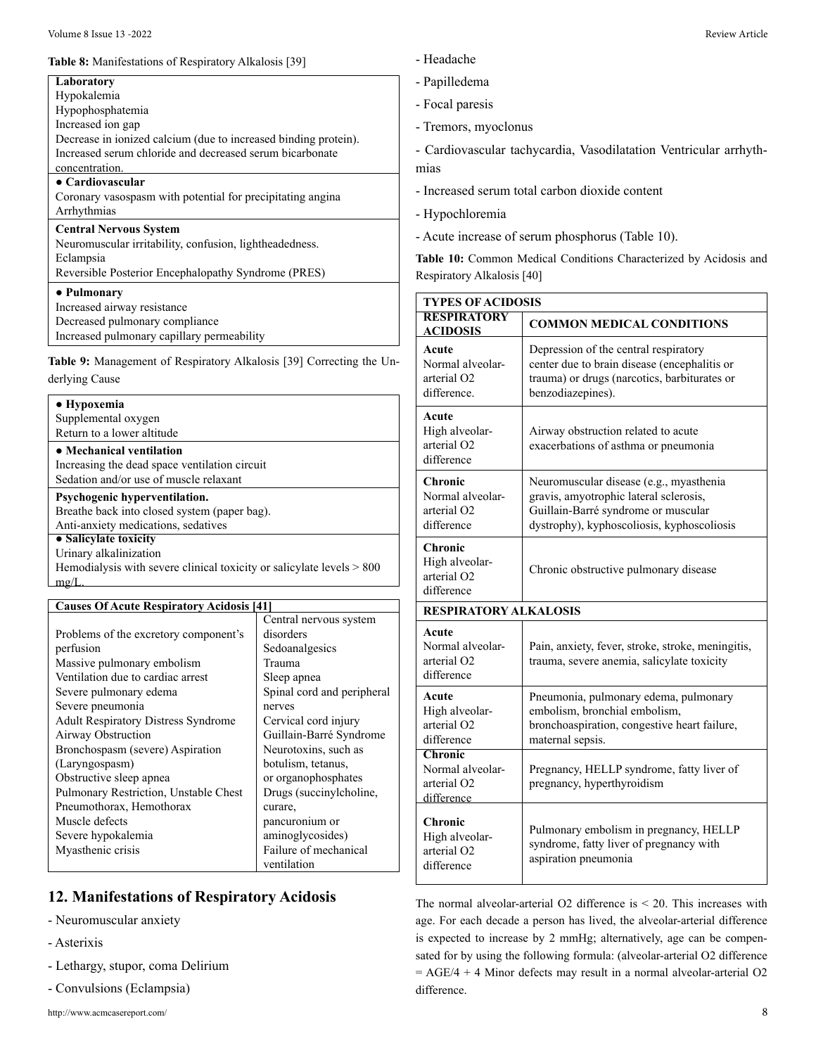#### **Table 8:** Manifestations of Respiratory Alkalosis [39]

| Hypokalemia                                                     |  |
|-----------------------------------------------------------------|--|
| Hypophosphatemia                                                |  |
| Increased ion gap                                               |  |
| Decrease in ionized calcium (due to increased binding protein). |  |
| Increased serum chloride and decreased serum bicarbonate        |  |
| concentration.                                                  |  |
| • Cardiovascular                                                |  |
| Coronary vasospasm with potential for precipitating angina      |  |
| Arrhythmias                                                     |  |
| <b>Central Nervous System</b>                                   |  |
| Neuromuscular irritability, confusion, lightheadedness.         |  |
| Eclampsia                                                       |  |
| Reversible Posterior Encephalopathy Syndrome (PRES)             |  |
| • Pulmonary                                                     |  |
| Increased airway resistance                                     |  |
| Decreased pulmonary compliance                                  |  |
| Increased pulmonary capillary permeability                      |  |

derlying Cause

| • Hypoxemia                                                             |
|-------------------------------------------------------------------------|
| Supplemental oxygen                                                     |
| Return to a lower altitude                                              |
| • Mechanical ventilation                                                |
| Increasing the dead space ventilation circuit                           |
| Sedation and/or use of muscle relaxant                                  |
| Psychogenic hyperventilation.                                           |
| Breathe back into closed system (paper bag).                            |
| Anti-anxiety medications, sedatives                                     |
| • Salicylate toxicity                                                   |
| Urinary alkalinization                                                  |
| Hemodialysis with severe clinical toxicity or salicylate levels $> 800$ |
| mø/                                                                     |
|                                                                         |
| <b>Causes Of Acute Respiratory Acidosis [41]</b>                        |

|                                            | Central nervous system     |
|--------------------------------------------|----------------------------|
| Problems of the excretory component's      | disorders                  |
| perfusion                                  | Sedoanalgesics             |
| Massive pulmonary embolism                 | Trauma                     |
| Ventilation due to cardiac arrest          | Sleep apnea                |
| Severe pulmonary edema                     | Spinal cord and peripheral |
| Severe pneumonia                           | nerves                     |
| <b>Adult Respiratory Distress Syndrome</b> | Cervical cord injury       |
| Airway Obstruction                         | Guillain-Barré Syndrome    |
| Bronchospasm (severe) Aspiration           | Neurotoxins, such as       |
| (Laryngospasm)                             | botulism, tetanus,         |
| Obstructive sleep apnea                    | or organophosphates        |
| Pulmonary Restriction, Unstable Chest      | Drugs (succinylcholine,    |
| Pneumothorax, Hemothorax                   | curare,                    |
| Muscle defects                             | pancuronium or             |
| Severe hypokalemia                         | aminoglycosides)           |
| Myasthenic crisis                          | Failure of mechanical      |
|                                            | ventilation                |

# **12. Manifestations of Respiratory Acidosis**

- Neuromuscular anxiety
- Asterixis
- Lethargy, stupor, coma Delirium
- Convulsions (Eclampsia)
- Headache
- edema
- paresis
- ors, myoclonus

ovascular tachycardia, Vasodilatation Ventricular arrhyth-

- sed serum total carbon dioxide content
- chloremia
- increase of serum phosphorus (Table 10).

0: Common Medical Conditions Characterized by Acidosis and ory Alkalosis [40]

| <b>TYPES OF ACIDOSIS</b>                                             |                                                                                                                                                                        |  |
|----------------------------------------------------------------------|------------------------------------------------------------------------------------------------------------------------------------------------------------------------|--|
| <b>RESPIRATORY</b><br><b>ACIDOSIS</b>                                | <b>COMMON MEDICAL CONDITIONS</b>                                                                                                                                       |  |
| Acute<br>Normal alveolar-<br>arterial O <sub>2</sub><br>difference   | Depression of the central respiratory<br>center due to brain disease (encephalitis or<br>trauma) or drugs (narcotics, barbiturates or<br>benzodiazepines).             |  |
| Acute<br>High alveolar-<br>arterial O <sub>2</sub><br>difference     | Airway obstruction related to acute<br>exacerbations of asthma or pneumonia                                                                                            |  |
| Chronic<br>Normal alveolar-<br>arterial O <sub>2</sub><br>difference | Neuromuscular disease (e.g., myasthenia<br>gravis, amyotrophic lateral sclerosis,<br>Guillain-Barré syndrome or muscular<br>dystrophy), kyphoscoliosis, kyphoscoliosis |  |
| Chronic<br>High alveolar-<br>arterial O <sub>2</sub><br>difference   | Chronic obstructive pulmonary disease                                                                                                                                  |  |
| <b>RESPIRATORY ALKALOSIS</b>                                         |                                                                                                                                                                        |  |
| Acute<br>Normal alveolar-<br>arterial O <sub>2</sub><br>difference   | Pain, anxiety, fever, stroke, stroke, meningitis,<br>trauma, severe anemia, salicylate toxicity                                                                        |  |
| Acute<br>High alveolar-<br>arterial O <sub>2</sub><br>difference     | Pneumonia, pulmonary edema, pulmonary<br>embolism, bronchial embolism,<br>bronchoaspiration, congestive heart failure,<br>maternal sepsis.                             |  |
| Chronic<br>Normal alveolar-<br>arterial O <sub>2</sub><br>difference | Pregnancy, HELLP syndrome, fatty liver of<br>pregnancy, hyperthyroidism                                                                                                |  |
| Chronic<br>High alveolar-<br>arterial O <sub>2</sub><br>difference   | Pulmonary embolism in pregnancy, HELLP<br>syndrome, fatty liver of pregnancy with<br>aspiration pneumonia                                                              |  |

The normal alveolar-arterial O2 difference is < 20. This increases with age. For each decade a person has lived, the alveolar-arterial difference is expected to increase by 2 mmHg; alternatively, age can be compensated for by using the following formula: (alveolar-arterial O2 difference  $= AGE/4 + 4$  Minor defects may result in a normal alveolar-arterial O2 difference.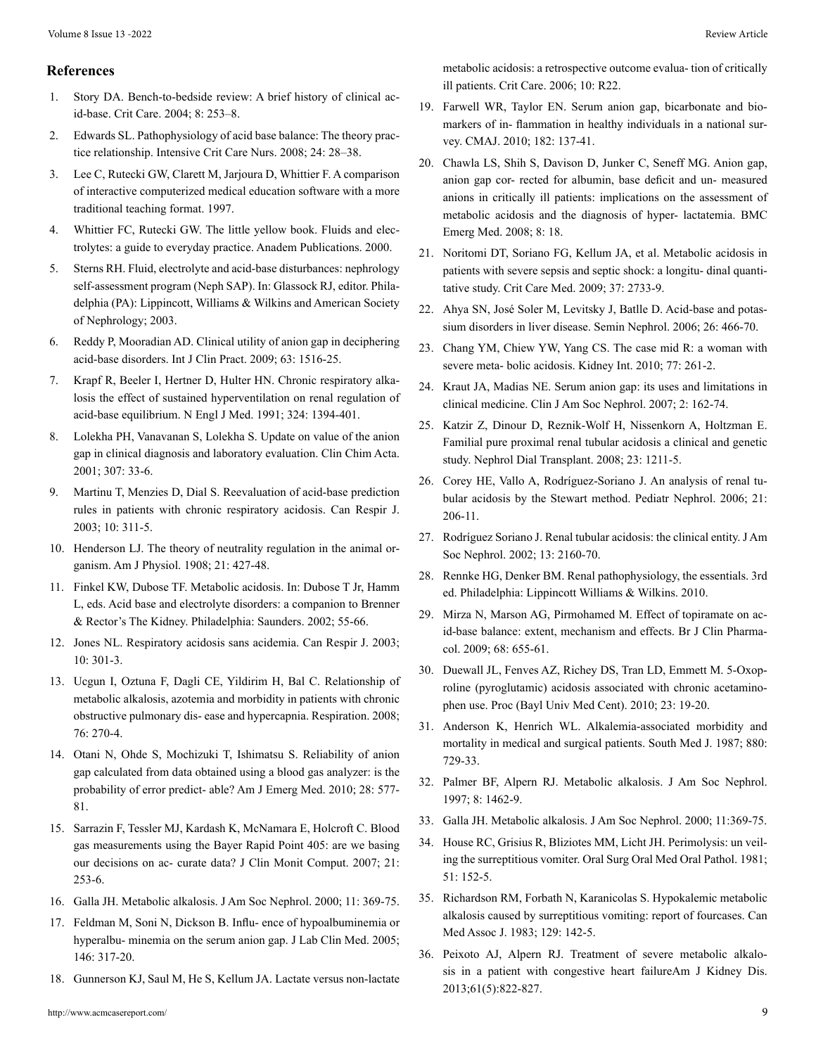#### **References**

- 1. [Story DA. Bench-to-bedside review: A brief history of clinical ac](https://pubmed.ncbi.nlm.nih.gov/15312207/)[id-base. Crit Care. 2004; 8: 253–8.](https://pubmed.ncbi.nlm.nih.gov/15312207/)
- 2. [Edwards SL. Pathophysiology of acid base balance: The theory prac](https://pubmed.ncbi.nlm.nih.gov/17689248/)[tice relationship. Intensive Crit Care Nurs. 2008; 24: 28–38.](https://pubmed.ncbi.nlm.nih.gov/17689248/)
- 3. [Lee C, Rutecki GW, Clarett M, Jarjoura D, Whittier F. A comparison](https://www.wizdom.ai/publication/10.1080/10401339709539824/title/a_comparison_of_interactive_computerized_medical_education_software_with_a_more_traditional_teaching_format) [of interactive computerized medical education software with a more](https://www.wizdom.ai/publication/10.1080/10401339709539824/title/a_comparison_of_interactive_computerized_medical_education_software_with_a_more_traditional_teaching_format) [traditional teaching format. 1997.](https://www.wizdom.ai/publication/10.1080/10401339709539824/title/a_comparison_of_interactive_computerized_medical_education_software_with_a_more_traditional_teaching_format)
- 4. Whittier FC, Rutecki GW. The little yellow book. Fluids and electrolytes: a guide to everyday practice. Anadem Publications. 2000.
- 5. Sterns RH. Fluid, electrolyte and acid-base disturbances: nephrology self-assessment program (Neph SAP). In: Glassock RJ, editor. Philadelphia (PA): Lippincott, Williams & Wilkins and American Society of Nephrology; 2003.
- 6. [Reddy P, Mooradian AD. Clinical utility of anion gap in deciphering](https://pubmed.ncbi.nlm.nih.gov/19769708/) [acid-base disorders. Int J Clin Pract. 2009; 63: 1516-25.](https://pubmed.ncbi.nlm.nih.gov/19769708/)
- 7. [Krapf R, Beeler I, Hertner D, Hulter HN. Chronic respiratory alka](https://pubmed.ncbi.nlm.nih.gov/1902283/)[losis the effect of sustained hyperventilation on renal regulation of](https://pubmed.ncbi.nlm.nih.gov/1902283/)  [acid-base equilibrium. N Engl J Med. 1991; 324: 1394-401.](https://pubmed.ncbi.nlm.nih.gov/1902283/)
- 8. [Lolekha PH, Vanavanan S, Lolekha S. Update on value of the anion](https://pubmed.ncbi.nlm.nih.gov/11369334/)  [gap in clinical diagnosis and laboratory evaluation. Clin Chim Acta.](https://pubmed.ncbi.nlm.nih.gov/11369334/) [2001; 307: 33-6.](https://pubmed.ncbi.nlm.nih.gov/11369334/)
- 9. [Martinu T, Menzies D, Dial S. Reevaluation of acid-base prediction](https://pubmed.ncbi.nlm.nih.gov/14530822/) [rules in patients with chronic respiratory acidosis. Can Respir J.](https://pubmed.ncbi.nlm.nih.gov/14530822/)  [2003; 10: 311-5.](https://pubmed.ncbi.nlm.nih.gov/14530822/)
- 10. [Henderson LJ. The theory of neutrality regulation in the animal or](https://journals.physiology.org/doi/abs/10.1152/ajplegacy.1908.21.4.427)[ganism. Am J Physiol. 1908; 21: 427-48.](https://journals.physiology.org/doi/abs/10.1152/ajplegacy.1908.21.4.427)
- 11. Finkel KW, Dubose TF. Metabolic acidosis. In: Dubose T Jr, Hamm L, eds. Acid base and electrolyte disorders: a companion to Brenner & Rector's The Kidney. Philadelphia: Saunders. 2002; 55-66.
- 12. [Jones NL. Respiratory acidosis sans acidemia. Can Respir J. 2003;](https://pubmed.ncbi.nlm.nih.gov/14530819/) [10: 301-3.](https://pubmed.ncbi.nlm.nih.gov/14530819/)
- 13. [Ucgun I, Oztuna F, Dagli CE, Yildirim H, Bal C. Relationship of](https://pubmed.ncbi.nlm.nih.gov/18463428/) [metabolic alkalosis, azotemia and morbidity in patients with chronic](https://pubmed.ncbi.nlm.nih.gov/18463428/) [obstructive pulmonary dis- ease and hypercapnia. Respiration. 2008;](https://pubmed.ncbi.nlm.nih.gov/18463428/) [76: 270-4.](https://pubmed.ncbi.nlm.nih.gov/18463428/)
- 14. [Otani N, Ohde S, Mochizuki T, Ishimatsu S. Reliability of anion](https://pubmed.ncbi.nlm.nih.gov/20579552/)  [gap calculated from data obtained using a blood gas analyzer: is the](https://pubmed.ncbi.nlm.nih.gov/20579552/) [probability of error predict- able? Am J Emerg Med. 2010; 28: 577-](https://pubmed.ncbi.nlm.nih.gov/20579552/) [81.](https://pubmed.ncbi.nlm.nih.gov/20579552/)
- 15. [Sarrazin F, Tessler MJ, Kardash K, McNamara E, Holcroft C. Blood](https://pubmed.ncbi.nlm.nih.gov/17594527/)  [gas measurements using the Bayer Rapid Point 405: are we basing](https://pubmed.ncbi.nlm.nih.gov/17594527/) [our decisions on ac- curate data? J Clin Monit Comput. 2007; 21:](https://pubmed.ncbi.nlm.nih.gov/17594527/)  [253-6.](https://pubmed.ncbi.nlm.nih.gov/17594527/)
- 16. [Galla JH. Metabolic alkalosis. J Am Soc Nephrol. 2000; 11: 369-75.](https://jasn.asnjournals.org/content/11/2/369)
- 17. [Feldman M, Soni N, Dickson B. Influ- ence of hypoalbuminemia or](https://pubmed.ncbi.nlm.nih.gov/16310513/)  [hyperalbu- minemia on the serum anion gap. J Lab Clin Med. 2005;](https://pubmed.ncbi.nlm.nih.gov/16310513/) [146: 317-20.](https://pubmed.ncbi.nlm.nih.gov/16310513/)
- 18. [Gunnerson KJ, Saul M, He S, Kellum JA. Lactate versus non-lactate](https://pubmed.ncbi.nlm.nih.gov/16507145/)

[metabolic acidosis: a retrospective outcome evalua- tion of critically](https://pubmed.ncbi.nlm.nih.gov/16507145/) [ill patients. Crit Care. 2006; 10: R22.](https://pubmed.ncbi.nlm.nih.gov/16507145/)

- 19. [Farwell WR, Taylor EN. Serum anion gap, bicarbonate and bio](https://pubmed.ncbi.nlm.nih.gov/20008503/)[markers of in- flammation in healthy individuals in a national sur](https://pubmed.ncbi.nlm.nih.gov/20008503/)[vey. CMAJ. 2010; 182: 137-41.](https://pubmed.ncbi.nlm.nih.gov/20008503/)
- 20. [Chawla LS, Shih S, Davison D, Junker C, Seneff MG. Anion gap,](https://pubmed.ncbi.nlm.nih.gov/19087326/) [anion gap cor- rected for albumin, base deficit and un- measured](https://pubmed.ncbi.nlm.nih.gov/19087326/) [anions in critically ill patients: implications on the assessment of](https://pubmed.ncbi.nlm.nih.gov/19087326/) [metabolic acidosis and the diagnosis of hyper- lactatemia. BMC](https://pubmed.ncbi.nlm.nih.gov/19087326/) [Emerg Med. 2008; 8: 18.](https://pubmed.ncbi.nlm.nih.gov/19087326/)
- 21. [Noritomi DT, Soriano FG, Kellum JA, et al. Metabolic acidosis in](https://pubmed.ncbi.nlm.nih.gov/19885998/)  [patients with severe sepsis and septic shock: a longitu- dinal quanti](https://pubmed.ncbi.nlm.nih.gov/19885998/)[tative study. Crit Care Med. 2009; 37: 2733-9.](https://pubmed.ncbi.nlm.nih.gov/19885998/)
- 22. [Ahya SN, José Soler M, Levitsky J, Batlle D. Acid-base and potas](https://pubmed.ncbi.nlm.nih.gov/17275584/)[sium disorders in liver disease. Semin Nephrol. 2006; 26: 466-70.](https://pubmed.ncbi.nlm.nih.gov/17275584/)
- 23. [Chang YM, Chiew YW, Yang CS. The case mid R: a woman with](https://pubmed.ncbi.nlm.nih.gov/20075963/)  [severe meta- bolic acidosis. Kidney Int. 2010; 77: 261-2.](https://pubmed.ncbi.nlm.nih.gov/20075963/)
- 24. [Kraut JA, Madias NE. Serum anion gap: its uses and limitations in](https://pubmed.ncbi.nlm.nih.gov/17699401/)  [clinical medicine. Clin J Am Soc Nephrol. 2007; 2: 162-74.](https://pubmed.ncbi.nlm.nih.gov/17699401/)
- 25. [Katzir Z, Dinour D, Reznik-Wolf H, Nissenkorn A, Holtzman E.](https://pubmed.ncbi.nlm.nih.gov/17881426/)  [Familial pure proximal renal tubular acidosis a clinical and genetic](https://pubmed.ncbi.nlm.nih.gov/17881426/) [study. Nephrol Dial Transplant. 2008; 23: 1211-5.](https://pubmed.ncbi.nlm.nih.gov/17881426/)
- 26. [Corey HE, Vallo A, Rodríguez-Soriano J. An analysis of renal tu](https://pubmed.ncbi.nlm.nih.gov/16362393/)[bular acidosis by the Stewart method. Pediatr Nephrol. 2006; 21:](https://pubmed.ncbi.nlm.nih.gov/16362393/) [206-11.](https://pubmed.ncbi.nlm.nih.gov/16362393/)
- 27. [Rodríguez Soriano J. Renal tubular acidosis: the clinical entity. J Am](https://pubmed.ncbi.nlm.nih.gov/12138150/) [Soc Nephrol. 2002; 13: 2160-70.](https://pubmed.ncbi.nlm.nih.gov/12138150/)
- 28. Rennke HG, Denker BM. Renal pathophysiology, the essentials. 3rd ed. Philadelphia: Lippincott Williams & Wilkins. 2010.
- 29. [Mirza N, Marson AG, Pirmohamed M. Effect of topiramate on ac](https://pubmed.ncbi.nlm.nih.gov/19916989/)[id-base balance: extent, mechanism and effects. Br J Clin Pharma](https://pubmed.ncbi.nlm.nih.gov/19916989/)[col. 2009; 68: 655-61.](https://pubmed.ncbi.nlm.nih.gov/19916989/)
- 30. [Duewall JL, Fenves AZ, Richey DS, Tran LD, Emmett M. 5-Oxop](https://pubmed.ncbi.nlm.nih.gov/20157498/)[roline \(pyroglutamic\) acidosis associated with chronic acetamino](https://pubmed.ncbi.nlm.nih.gov/20157498/)[phen use. Proc \(Bayl Univ Med Cent\). 2010; 23: 19-20.](https://pubmed.ncbi.nlm.nih.gov/20157498/)
- 31. [Anderson K, Henrich WL. Alkalemia-associated morbidity and](https://pubmed.ncbi.nlm.nih.gov/3589765/)  [mortality in medical and surgical patients. South Med J. 1987; 880:](https://pubmed.ncbi.nlm.nih.gov/3589765/)  [729-33.](https://pubmed.ncbi.nlm.nih.gov/3589765/)
- 32. Palmer BF, Alpern RJ. Metabolic alkalosis. J Am Soc Nephrol. 1997; 8: 1462-9.
- 33. [Galla JH. Metabolic alkalosis. J Am Soc Nephrol. 2000; 11:369-75.](https://jasn.asnjournals.org/content/11/2/369)
- 34. [House RC, Grisius R, Bliziotes MM, Licht JH. Perimolysis: un veil](https://pubmed.ncbi.nlm.nih.gov/6937838/)[ing the surreptitious vomiter. Oral Surg Oral Med Oral Pathol. 1981;](https://pubmed.ncbi.nlm.nih.gov/6937838/)  [51: 152-5.](https://pubmed.ncbi.nlm.nih.gov/6937838/)
- 35. [Richardson RM, Forbath N, Karanicolas S. Hypokalemic metabolic](https://pubmed.ncbi.nlm.nih.gov/6861055/) [alkalosis caused by surreptitious vomiting: report of fourcases. Can](https://pubmed.ncbi.nlm.nih.gov/6861055/) [Med Assoc J. 1983; 129: 142-5.](https://pubmed.ncbi.nlm.nih.gov/6861055/)
- 36. [Peixoto AJ, Alpern RJ. Treatment of severe metabolic alkalo](https://pubmed.ncbi.nlm.nih.gov/23481366/)[sis in a patient with congestive heart failureAm J Kidney Dis.](https://pubmed.ncbi.nlm.nih.gov/23481366/)  [2013;61\(5\):822-827.](https://pubmed.ncbi.nlm.nih.gov/23481366/)